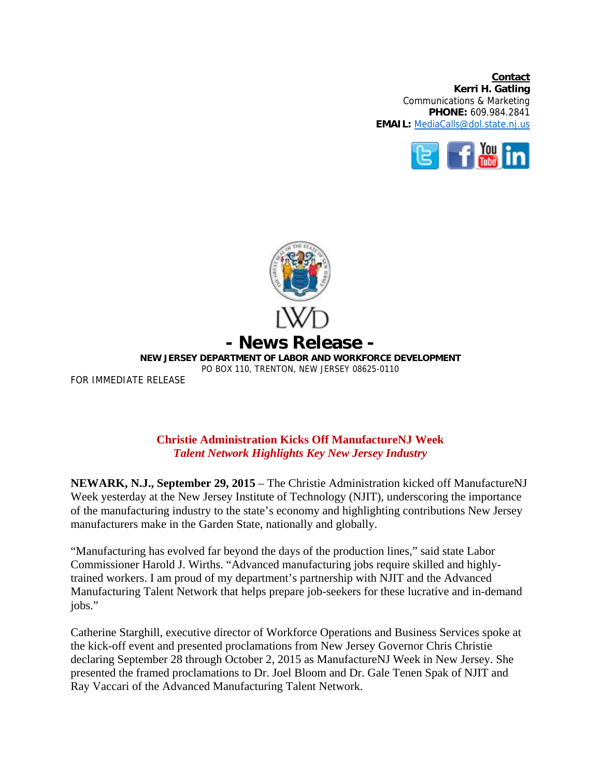**Contact Kerri H. Gatling**  Communications & Marketing **PHONE:** 609.984.2841 **EMAIL:** MediaCalls@dol.state.nj.us





## **Christie Administration Kicks Off ManufactureNJ Week**  *Talent Network Highlights Key New Jersey Industry*

**NEWARK, N.J., September 29, 2015** – The Christie Administration kicked off ManufactureNJ Week yesterday at the New Jersey Institute of Technology (NJIT), underscoring the importance of the manufacturing industry to the state's economy and highlighting contributions New Jersey manufacturers make in the Garden State, nationally and globally.

"Manufacturing has evolved far beyond the days of the production lines," said state Labor Commissioner Harold J. Wirths. "Advanced manufacturing jobs require skilled and highlytrained workers. I am proud of my department's partnership with NJIT and the Advanced Manufacturing Talent Network that helps prepare job-seekers for these lucrative and in-demand jobs."

Catherine Starghill, executive director of Workforce Operations and Business Services spoke at the kick-off event and presented proclamations from New Jersey Governor Chris Christie declaring September 28 through October 2, 2015 as ManufactureNJ Week in New Jersey. She presented the framed proclamations to Dr. Joel Bloom and Dr. Gale Tenen Spak of NJIT and Ray Vaccari of the Advanced Manufacturing Talent Network.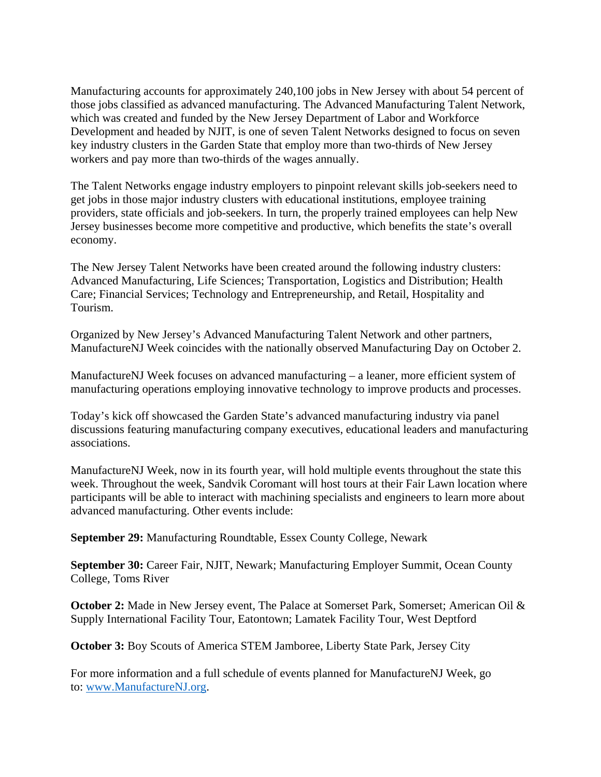Manufacturing accounts for approximately 240,100 jobs in New Jersey with about 54 percent of those jobs classified as advanced manufacturing. The Advanced Manufacturing Talent Network, which was created and funded by the New Jersey Department of Labor and Workforce Development and headed by NJIT, is one of seven Talent Networks designed to focus on seven key industry clusters in the Garden State that employ more than two-thirds of New Jersey workers and pay more than two-thirds of the wages annually.

The Talent Networks engage industry employers to pinpoint relevant skills job-seekers need to get jobs in those major industry clusters with educational institutions, employee training providers, state officials and job-seekers. In turn, the properly trained employees can help New Jersey businesses become more competitive and productive, which benefits the state's overall economy.

The New Jersey Talent Networks have been created around the following industry clusters: Advanced Manufacturing, Life Sciences; Transportation, Logistics and Distribution; Health Care; Financial Services; Technology and Entrepreneurship, and Retail, Hospitality and Tourism.

Organized by New Jersey's Advanced Manufacturing Talent Network and other partners, ManufactureNJ Week coincides with the nationally observed Manufacturing Day on October 2.

ManufactureNJ Week focuses on advanced manufacturing – a leaner, more efficient system of manufacturing operations employing innovative technology to improve products and processes.

Today's kick off showcased the Garden State's advanced manufacturing industry via panel discussions featuring manufacturing company executives, educational leaders and manufacturing associations.

ManufactureNJ Week, now in its fourth year, will hold multiple events throughout the state this week. Throughout the week, Sandvik Coromant will host tours at their Fair Lawn location where participants will be able to interact with machining specialists and engineers to learn more about advanced manufacturing. Other events include:

**September 29:** Manufacturing Roundtable, Essex County College, Newark

**September 30:** Career Fair, NJIT, Newark; Manufacturing Employer Summit, Ocean County College, Toms River

**October 2:** Made in New Jersey event, The Palace at Somerset Park, Somerset; American Oil & Supply International Facility Tour, Eatontown; Lamatek Facility Tour, West Deptford

**October 3:** Boy Scouts of America STEM Jamboree, Liberty State Park, Jersey City

For more information and a full schedule of events planned for ManufactureNJ Week, go to: www.ManufactureNJ.org.